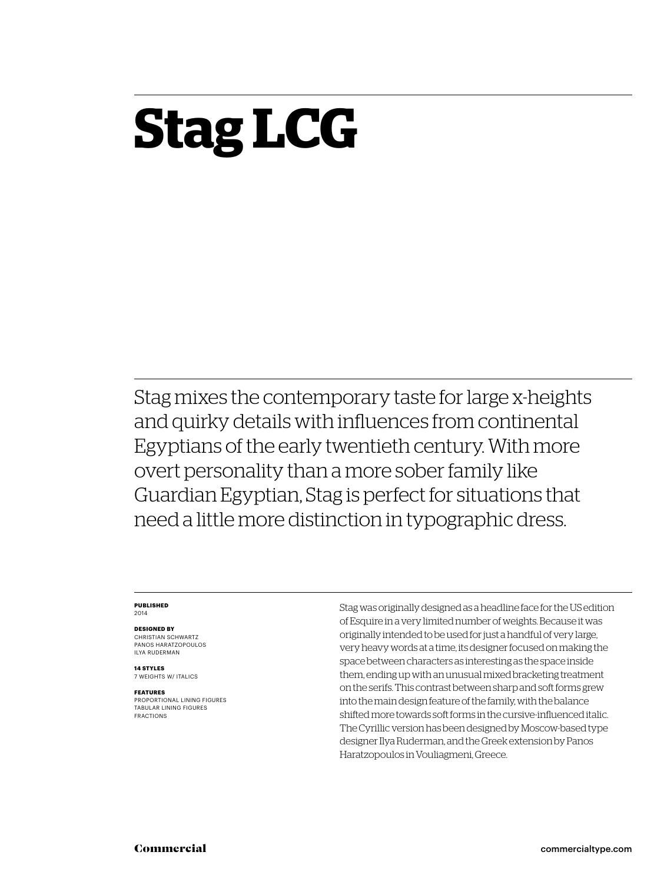## **Stag LCG**

Stag mixes the contemporary taste for large x-heights and quirky details with influences from continental Egyptians of the early twentieth century. With more overt personality than a more sober family like Guardian Egyptian, Stag is perfect for situations that need a little more distinction in typographic dress.

#### **Published** 2014

**Designed by**

CHRISTIAN SCHWARTZ Panos Haratzopoulos Ilya Ruderman

**14 styles** 7 weights w/ ITALICS

#### **Features**

PROPORTIONAL LINING FIGURES TABULAR LINING FIGURES FRACTIONS

Stag was originally designed as a headline face for the US edition of Esquire in a very limited number of weights. Because it was originally intended to be used for just a handful of very large, very heavy words at a time, its designer focused on making the space between characters as interesting as the space inside them, ending up with an unusual mixed bracketing treatment on the serifs. This contrast between sharp and soft forms grew into the main design feature of the family, with the balance shifted more towards soft forms in the cursive-influenced italic. The Cyrillic version has been designed by Moscow-based type designer Ilya Ruderman, and the Greek extension by Panos Haratzopoulos in Vouliagmeni, Greece.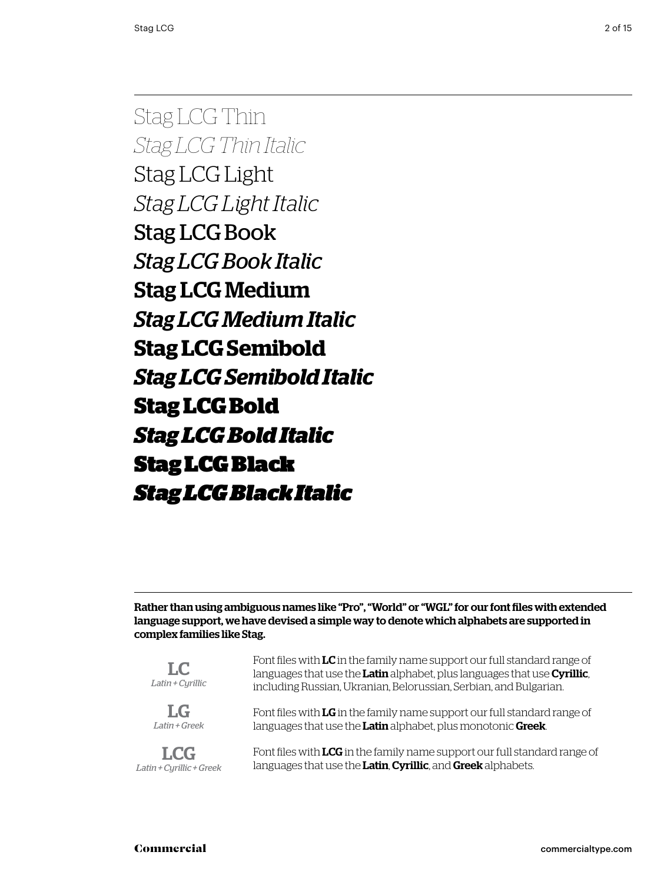Stag LCG Thin *Stag LCG Thin Italic* Stag LCG Light *Stag LCG Light Italic* Stag LCG Book *Stag LCG Book Italic* Stag LCG Medium *Stag LCG Medium Italic* **Stag LCG Semibold** *Stag LCG Semibold Italic* **Stag LCG Bold** *Stag LCG Bold Italic* Stag LCG Black *Stag LCG Black Italic*

Rather than using ambiguous names like "Pro", "World" or "WGL" for our font files with extended language support, we have devised a simple way to denote which alphabets are supported in complex families like Stag.

| $L_{\rm C}$<br>Latin + Cyrillic | Font files with LC in the family name support our full standard range of<br>languages that use the Latin alphabet, plus languages that use Cyrillic,<br>including Russian, Ukranian, Belorussian, Serbian, and Bulgarian. |
|---------------------------------|---------------------------------------------------------------------------------------------------------------------------------------------------------------------------------------------------------------------------|
| $L_G$                           | Font files with LG in the family name support our full standard range of                                                                                                                                                  |
| Latin + Greek                   | languages that use the Latin alphabet, plus monotonic Greek.                                                                                                                                                              |
| <b>LCG</b>                      | Font files with LCG in the family name support our full standard range of                                                                                                                                                 |
| Latin + Cyrillic + Greek        | languages that use the Latin, Cyrillic, and Greek alphabets.                                                                                                                                                              |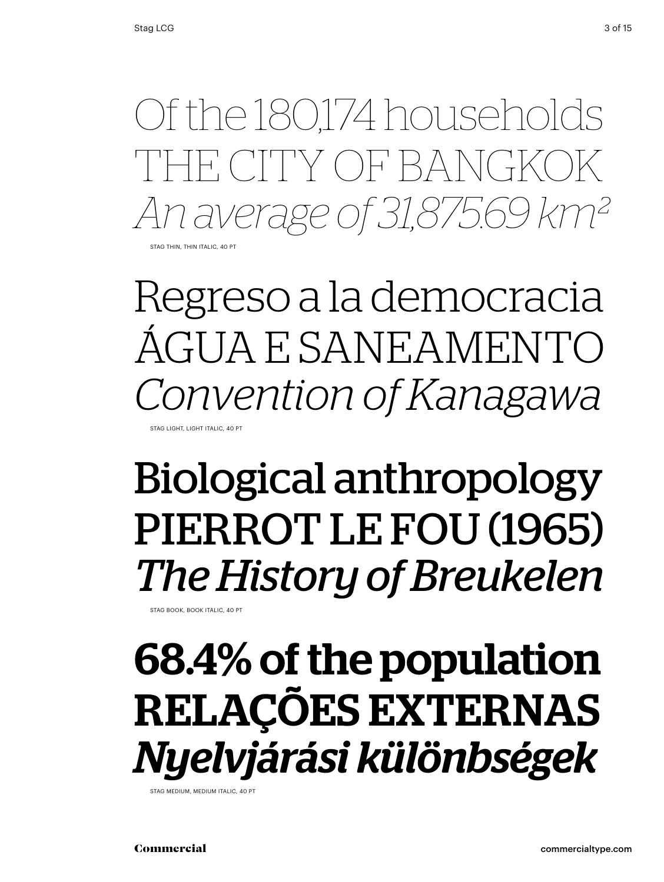Stage 174 households<br>
THE CITY OF BANGKOK<br> *An average of 31,875.69 km<sup>2</sup>*<br>
Regreso a la democracia<br>
ÁGUA E SANEAMENTO<br> *Convention of Kanagawa*<br> **Biological anthropology<br>
PIERROT LE FOU (1965)<br>** *The History of Breukelen***<br>** TH CITY OF BANGKO *An average of 31,875.69 km²*

STAG THIN, THIN ITALIC, 40 PT

Regreso a la democracia ÁGUA E SANEAMENTO *Convention of Kanagawa* STAG LIGHT, LIGHT ITALIC, 40 PT

## Biological anthropology PIERROT LE FOU (1965) *The History of Breukelen*

STAG BOOK, BOOK ITALIC, 40 PT

## 68.4% of the population RELAÇÕES EXTERNAS *Nyelvjárási különbségek*

STAG MEDIUM, MEDIUM ITALIC, 40 PT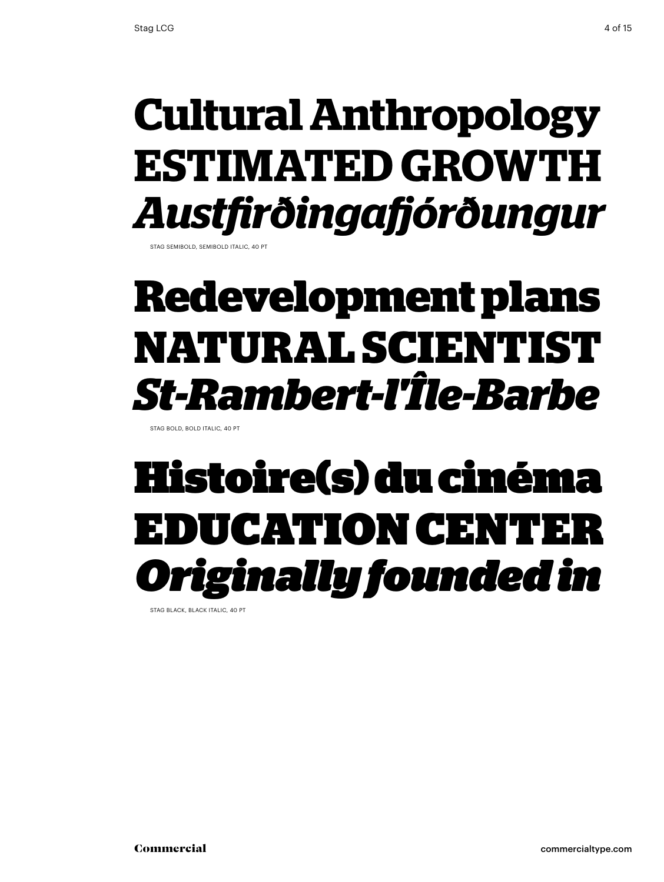# **ESTIMATED GROWTH** *Austfi rðingafj órðungur*

STAG SEMIBOLD, SEMIBOLD ITALIC, 40 PT

#### **Redevelopment plans NATURAL SCIENTIST** *St-Rambert-l'Île-Barbe*

STAG BOLD, BOLD ITALIC, 40 PT

# **Cultural Anthropology<br>ESTIMATED GROWTH<br>Austfirðingafjórðungur<br>Redevelopment plans<br>NATURAL SCIENTIST<br>***St-Rambert-l'Île-Barbe***<br>Histoire(s) du cinéma<br>EDUCATION CENTER<br>***Originally founded in* Histoire(s) du cinéma<br>EDUCATION CENTER DUCATION CENTE **Originally founded in**

STAG BLACK, BLACK ITALIC, 40 PT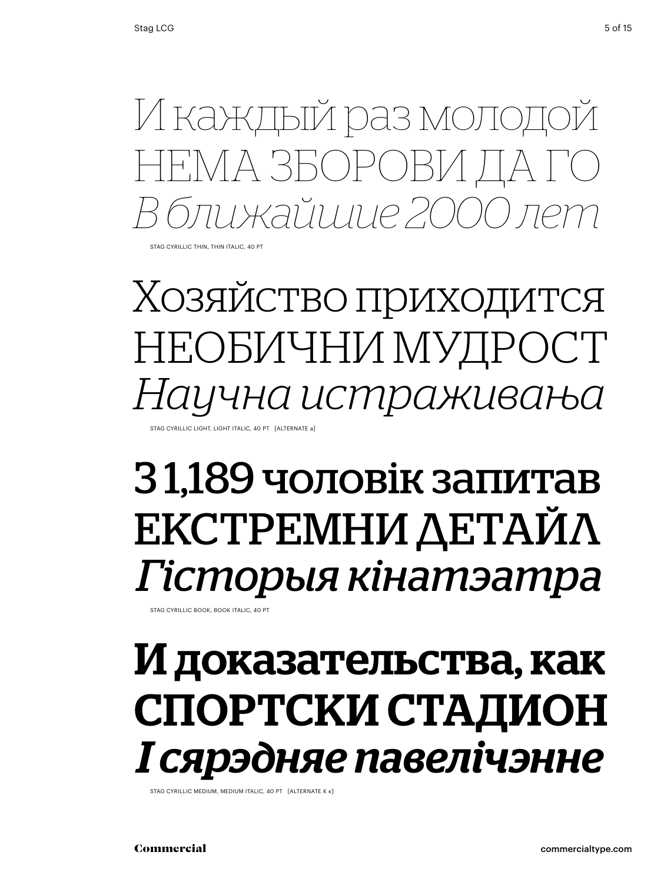И каждый раз молодой нема зборови да го *В ближайшие 2000 лет*

Stag cyrillic thin, thin italic, 40 Pt

Хозяйство приходится необични мудрост *Научна истраживања* STAG CYRILLIC LIGHT, LIGHT ITALIC, 40 PT [ALTERNATE a]

### З 1,189 чоловік запитав екстремни детайл *Гісторыя кінатэатра*

Stag cyrillic book, book italic, 40 Pt

#### И доказательства, как спортски стадион *І сярэдняе павелічэнне*

STAG CYRILLIC MEDIUM, MEDIUM ITALIC, 40 PT [ALTERNATE K K]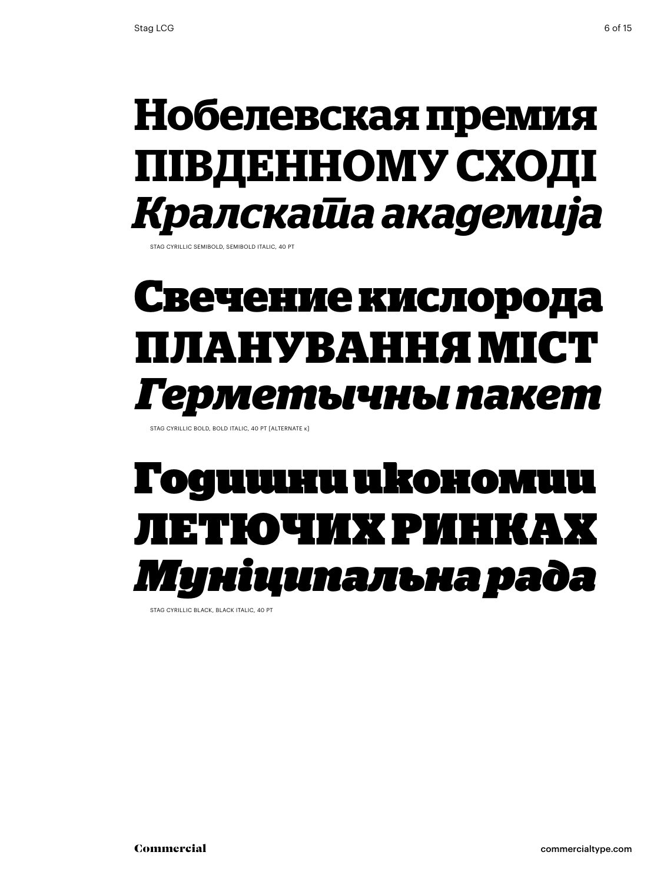#### **Нобелевская премия південному сході** *Кралската академија*

Stag cyrillic semibold, semibold italic, 40 Pt

#### **Свечение кислорода планування міст** *Герметычны пакет*

Stag cyrillic bold, bold italic, 40 Pt [alternate к]

#### Годишни икономии летючих ринках *Муніципальна рада*

Stag cyrillic black, black italic, 40 Pt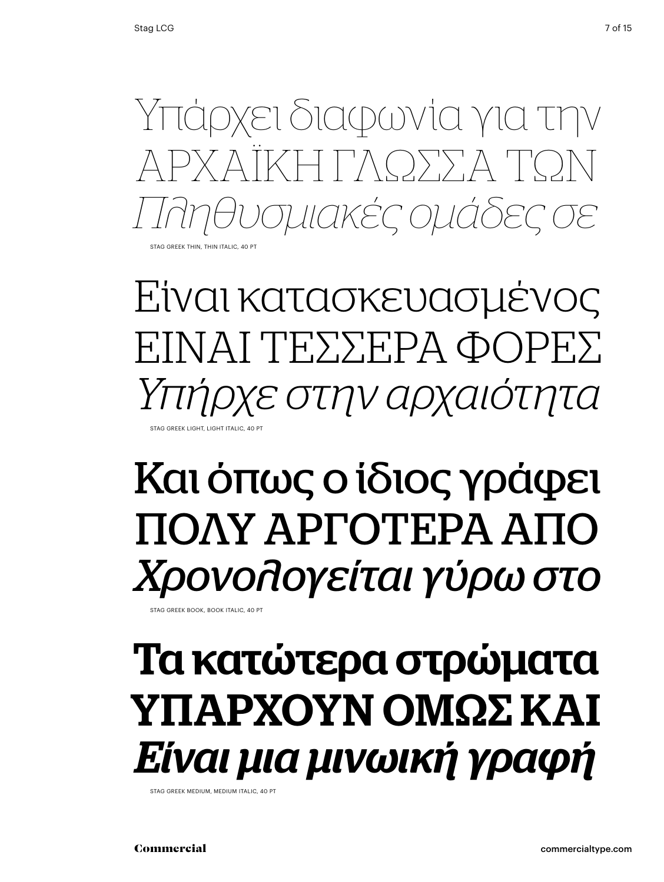

Είναι κατασκευασμένος ΕΊΝΑΙ ΤΕΣΣΕΡΑ ΦΟΡΕΣ *Υπήρχε στην αρχαιότητα* Stag Greek light, light italic, 40 Pt

## Και όπως ο ίδιος γράφει ΠΟΛΥ ΑΡΓΟΤΕΡΑ ΑΠΟ *Χρονολογείται γύρω στο*

Stag Greek book, book italic, 40 Pt

#### Τα κατώτερα στρώματα ΥΠΑΡΧΟΥΝ ΟΜΩΣ ΚΑΙ *Είναι μια μινωική γραφή*

Stag Greek medium, medium italic, 40 Pt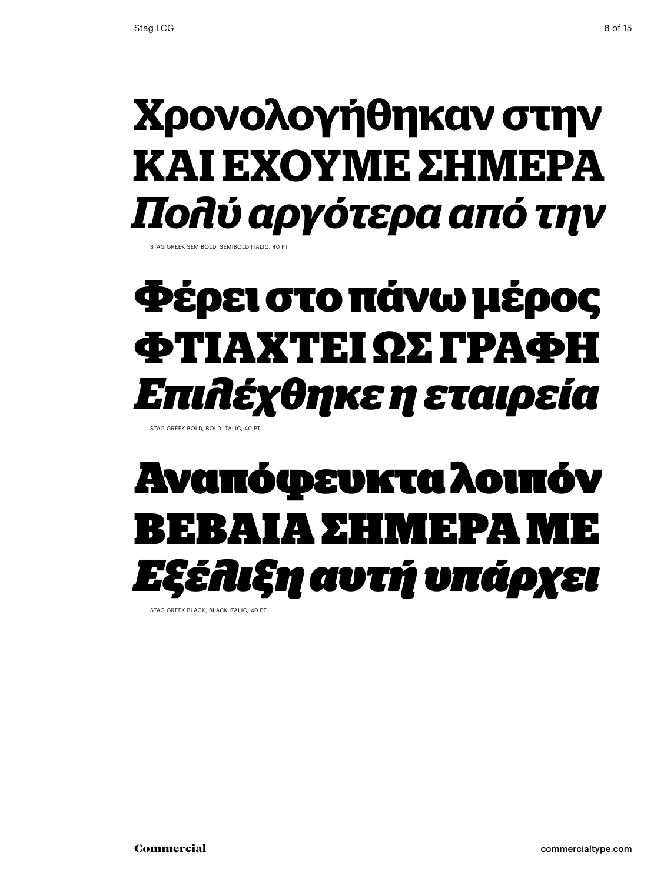#### **Χρονολογήθηκαν στην ΚΑΙ ΕΧΟΥΜΕ ΣΗΜΕΡΑ** *Πολύ αργότερα από την*

STAG GREEK SEMIBOLD, SEMIBOLD ITALIC, 40

## **Φέρει στο πάνω μέρος Φτιαχτεί ως γραΦή** *Επιλέχθηκε η εταιρεία*

Stag Greek bold, bold italic, 40 Pt

## Αναπόφευκτα λοιπόν Βέβαια στη στη στηρελή και στη στηρελή και στη ιξη αυτή υπά*ρχει*

STAG GREEK BLACK, BLACK ITALIC, 40 PT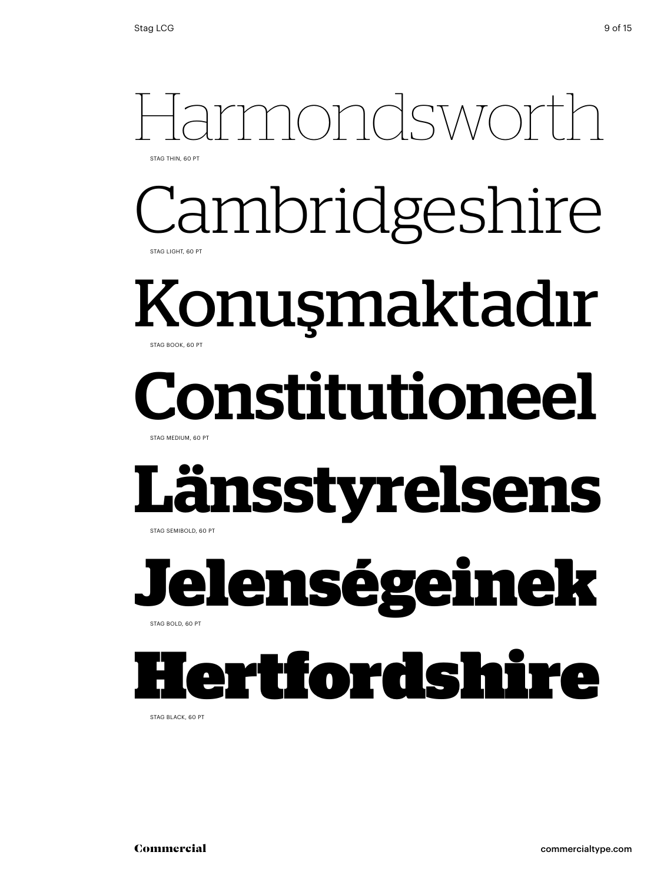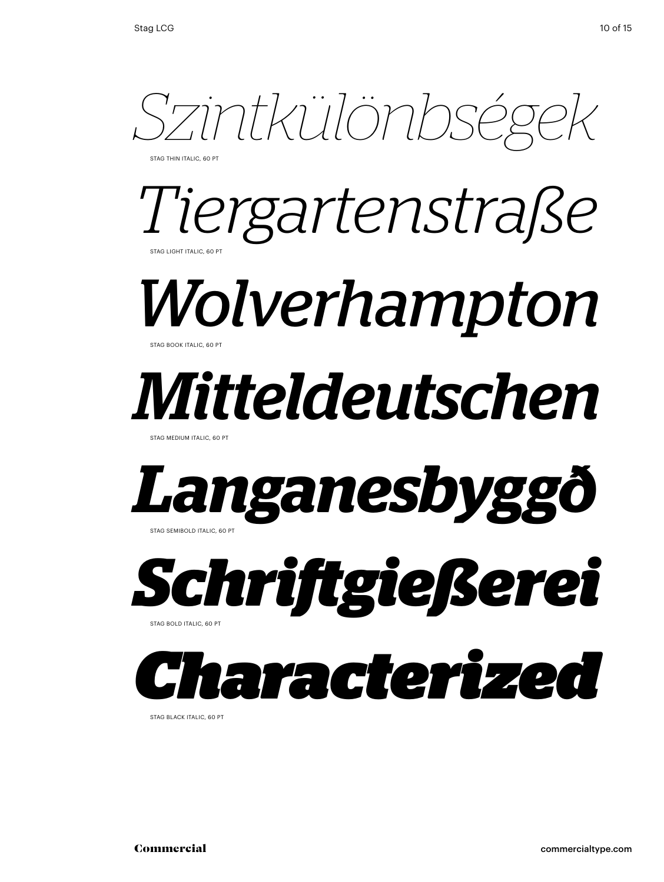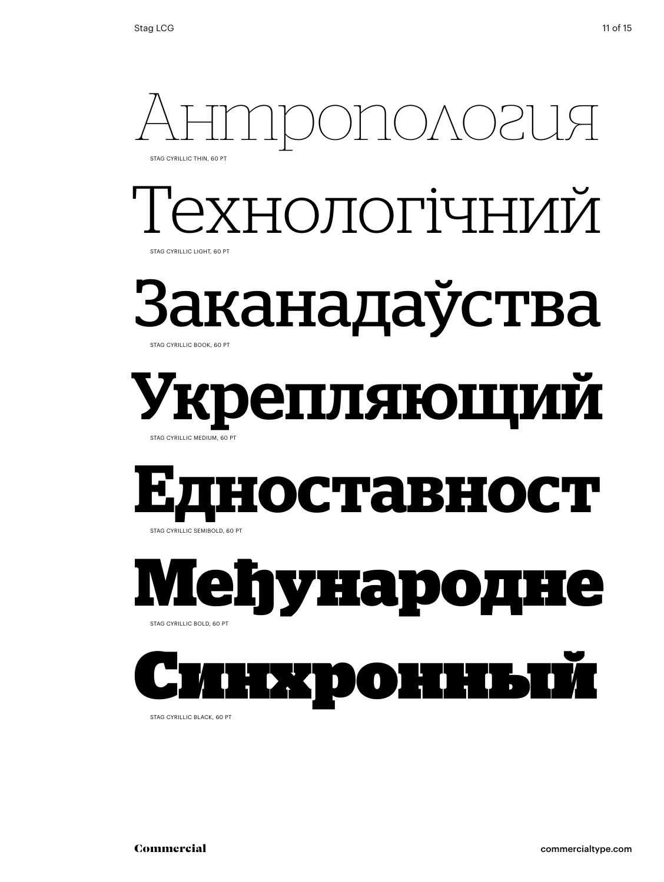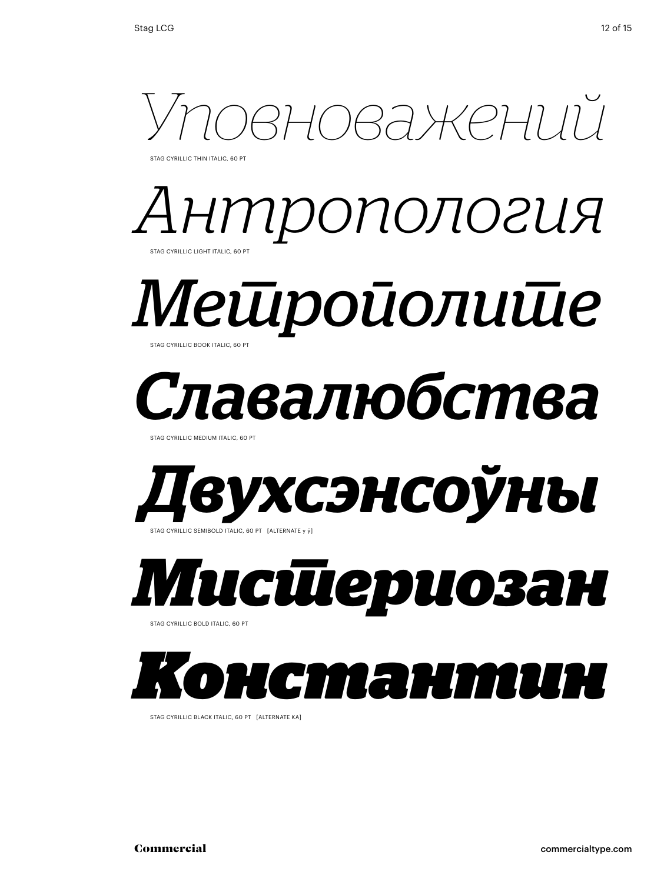

STAG CYRILLIC THIN ITALIC, 60 PT





# *Славалюбства*

STAG CYRILLIC MEDIUM ITALIC, 60 PT



#### *Мистериозан*  Stag cyrillic bold italic, 60 Pt

*Константин*

Stag cyrillic black italic, 60 Pt [alternate ka]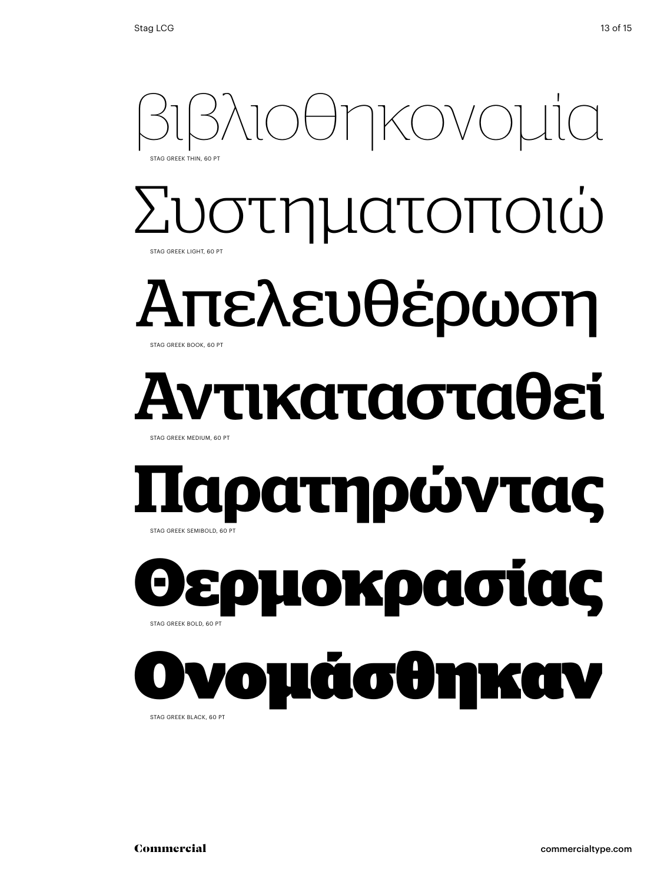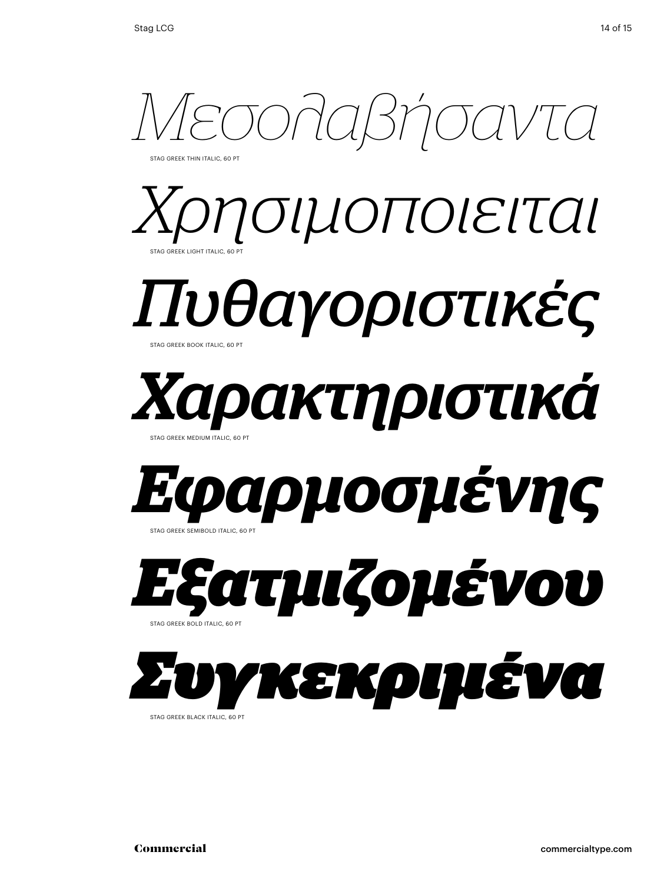